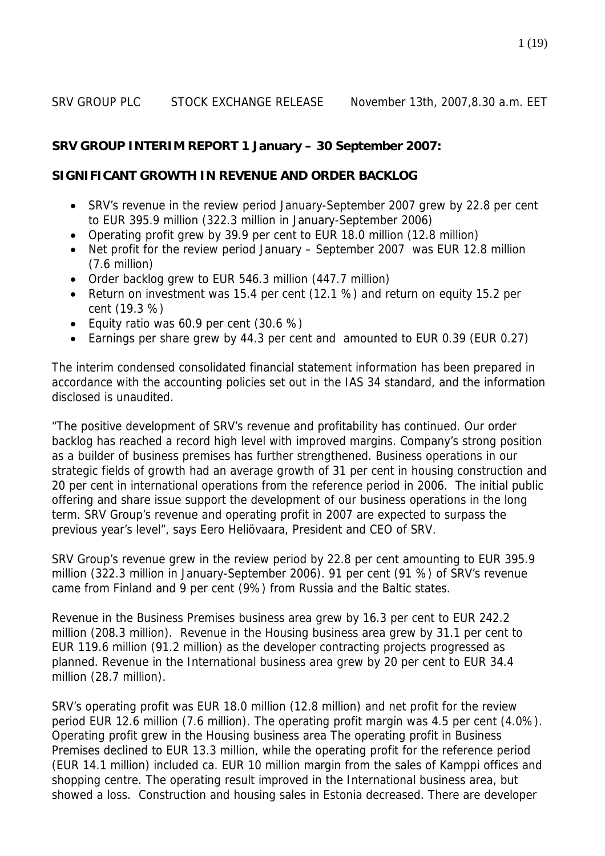#### SRV GROUP PLC STOCK EXCHANGE RELEASE November 13th, 2007,8.30 a.m. EET

#### **SRV GROUP INTERIM REPORT 1 January – 30 September 2007:**

#### **SIGNIFICANT GROWTH IN REVENUE AND ORDER BACKLOG**

- SRV's revenue in the review period January-September 2007 grew by 22.8 per cent to EUR 395.9 million (322.3 million in January-September 2006)
- Operating profit grew by 39.9 per cent to EUR 18.0 million (12.8 million)
- Net profit for the review period January September 2007 was EUR 12.8 million (7.6 million)
- Order backlog grew to EUR 546.3 million (447.7 million)
- Return on investment was 15.4 per cent (12.1 %) and return on equity 15.2 per cent (19.3 %)
- Equity ratio was 60.9 per cent (30.6 %)
- Earnings per share grew by 44.3 per cent and amounted to EUR 0.39 (EUR 0.27)

The interim condensed consolidated financial statement information has been prepared in accordance with the accounting policies set out in the IAS 34 standard, and the information disclosed is unaudited.

"The positive development of SRV's revenue and profitability has continued. Our order backlog has reached a record high level with improved margins. Company's strong position as a builder of business premises has further strengthened. Business operations in our strategic fields of growth had an average growth of 31 per cent in housing construction and 20 per cent in international operations from the reference period in 2006. The initial public offering and share issue support the development of our business operations in the long term. SRV Group's revenue and operating profit in 2007 are expected to surpass the previous year's level", says Eero Heliövaara, President and CEO of SRV.

SRV Group's revenue grew in the review period by 22.8 per cent amounting to EUR 395.9 million (322.3 million in January-September 2006). 91 per cent (91 %) of SRV's revenue came from Finland and 9 per cent (9%) from Russia and the Baltic states.

Revenue in the Business Premises business area grew by 16.3 per cent to EUR 242.2 million (208.3 million). Revenue in the Housing business area grew by 31.1 per cent to EUR 119.6 million (91.2 million) as the developer contracting projects progressed as planned. Revenue in the International business area grew by 20 per cent to EUR 34.4 million (28.7 million).

SRV's operating profit was EUR 18.0 million (12.8 million) and net profit for the review period EUR 12.6 million (7.6 million). The operating profit margin was 4.5 per cent (4.0%). Operating profit grew in the Housing business area The operating profit in Business Premises declined to EUR 13.3 million, while the operating profit for the reference period (EUR 14.1 million) included ca. EUR 10 million margin from the sales of Kamppi offices and shopping centre. The operating result improved in the International business area, but showed a loss. Construction and housing sales in Estonia decreased. There are developer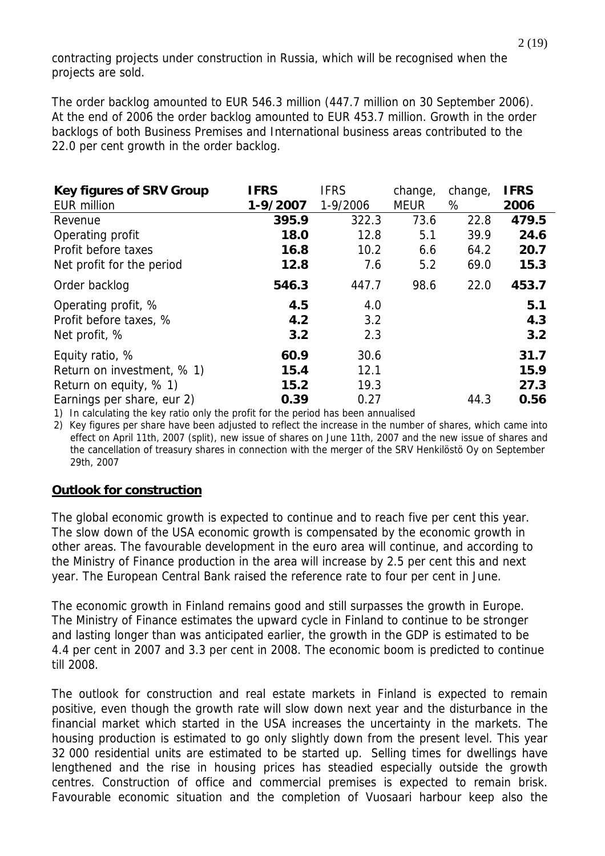contracting projects under construction in Russia, which will be recognised when the projects are sold.

The order backlog amounted to EUR 546.3 million (447.7 million on 30 September 2006). At the end of 2006 the order backlog amounted to EUR 453.7 million. Growth in the order backlogs of both Business Premises and International business areas contributed to the 22.0 per cent growth in the order backlog.

| <b>Key figures of SRV Group</b> | <b>IFRS</b> | <b>IFRS</b> | change,     | change, | <b>IFRS</b> |
|---------------------------------|-------------|-------------|-------------|---------|-------------|
| <b>EUR million</b>              | 1-9/2007    | 1-9/2006    | <b>MEUR</b> | %       | 2006        |
| Revenue                         | 395.9       | 322.3       | 73.6        | 22.8    | 479.5       |
| Operating profit                | 18.0        | 12.8        | 5.1         | 39.9    | 24.6        |
| Profit before taxes             | 16.8        | 10.2        | 6.6         | 64.2    | 20.7        |
| Net profit for the period       | 12.8        | 7.6         | 5.2         | 69.0    | 15.3        |
| Order backlog                   | 546.3       | 447.7       | 98.6        | 22.0    | 453.7       |
| Operating profit, %             | 4.5         | 4.0         |             |         | 5.1         |
| Profit before taxes, %          | 4.2         | 3.2         |             |         | 4.3         |
| Net profit, %                   | 3.2         | 2.3         |             |         | 3.2         |
| Equity ratio, %                 | 60.9        | 30.6        |             |         | 31.7        |
| Return on investment, % 1)      | 15.4        | 12.1        |             |         | 15.9        |
| Return on equity, % 1)          | 15.2        | 19.3        |             |         | 27.3        |
| Earnings per share, eur 2)      | 0.39        | 0.27        |             | 44.3    | 0.56        |

1) In calculating the key ratio only the profit for the period has been annualised

2) Key figures per share have been adjusted to reflect the increase in the number of shares, which came into effect on April 11th, 2007 (split), new issue of shares on June 11th, 2007 and the new issue of shares and the cancellation of treasury shares in connection with the merger of the SRV Henkilöstö Oy on September 29th, 2007

## **Outlook for construction**

The global economic growth is expected to continue and to reach five per cent this year. The slow down of the USA economic growth is compensated by the economic growth in other areas. The favourable development in the euro area will continue, and according to the Ministry of Finance production in the area will increase by 2.5 per cent this and next year. The European Central Bank raised the reference rate to four per cent in June.

The economic growth in Finland remains good and still surpasses the growth in Europe. The Ministry of Finance estimates the upward cycle in Finland to continue to be stronger and lasting longer than was anticipated earlier, the growth in the GDP is estimated to be 4.4 per cent in 2007 and 3.3 per cent in 2008. The economic boom is predicted to continue till 2008.

The outlook for construction and real estate markets in Finland is expected to remain positive, even though the growth rate will slow down next year and the disturbance in the financial market which started in the USA increases the uncertainty in the markets. The housing production is estimated to go only slightly down from the present level. This year 32 000 residential units are estimated to be started up. Selling times for dwellings have lengthened and the rise in housing prices has steadied especially outside the growth centres. Construction of office and commercial premises is expected to remain brisk. Favourable economic situation and the completion of Vuosaari harbour keep also the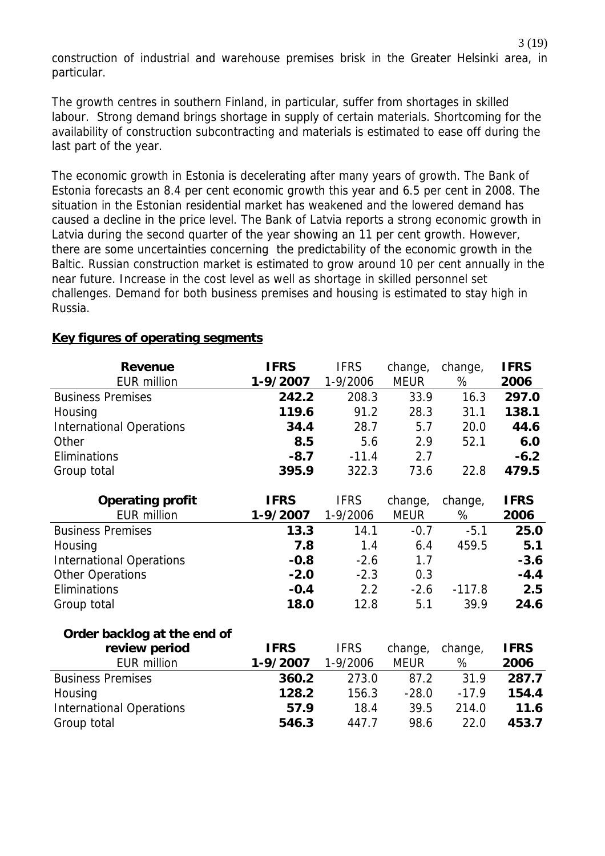construction of industrial and warehouse premises brisk in the Greater Helsinki area, in particular.

The growth centres in southern Finland, in particular, suffer from shortages in skilled labour. Strong demand brings shortage in supply of certain materials. Shortcoming for the availability of construction subcontracting and materials is estimated to ease off during the last part of the year.

The economic growth in Estonia is decelerating after many years of growth. The Bank of Estonia forecasts an 8.4 per cent economic growth this year and 6.5 per cent in 2008. The situation in the Estonian residential market has weakened and the lowered demand has caused a decline in the price level. The Bank of Latvia reports a strong economic growth in Latvia during the second quarter of the year showing an 11 per cent growth. However, there are some uncertainties concerning the predictability of the economic growth in the Baltic. Russian construction market is estimated to grow around 10 per cent annually in the near future. Increase in the cost level as well as shortage in skilled personnel set challenges. Demand for both business premises and housing is estimated to stay high in Russia.

| <b>Revenue</b>                  | <b>IFRS</b> | <b>IFRS</b> | change,     | change,  | <b>IFRS</b> |
|---------------------------------|-------------|-------------|-------------|----------|-------------|
| <b>EUR million</b>              | 1-9/2007    | 1-9/2006    | <b>MEUR</b> | %        | 2006        |
| <b>Business Premises</b>        | 242.2       | 208.3       | 33.9        | 16.3     | 297.0       |
| Housing                         | 119.6       | 91.2        | 28.3        | 31.1     | 138.1       |
| <b>International Operations</b> | 34.4        | 28.7        | 5.7         | 20.0     | 44.6        |
| Other                           | 8.5         | 5.6         | 2.9         | 52.1     | 6.0         |
| Eliminations                    | $-8.7$      | $-11.4$     | 2.7         |          | $-6.2$      |
| Group total                     | 395.9       | 322.3       | 73.6        | 22.8     | 479.5       |
| <b>Operating profit</b>         | <b>IFRS</b> | <b>IFRS</b> | change,     | change,  | <b>IFRS</b> |
| <b>EUR million</b>              | 1-9/2007    | 1-9/2006    | <b>MEUR</b> | %        | 2006        |
| <b>Business Premises</b>        | 13.3        | 14.1        | $-0.7$      | $-5.1$   | 25.0        |
| Housing                         | 7.8         | 1.4         | 6.4         | 459.5    | 5.1         |
| <b>International Operations</b> | $-0.8$      | $-2.6$      | 1.7         |          | $-3.6$      |
| <b>Other Operations</b>         | $-2.0$      | $-2.3$      | 0.3         |          | $-4.4$      |
| Eliminations                    | $-0.4$      | 2.2         | $-2.6$      | $-117.8$ | 2.5         |
| Group total                     | 18.0        | 12.8        | 5.1         | 39.9     | 24.6        |
| Order backlog at the end of     |             |             |             |          |             |
| review period                   | <b>IFRS</b> | <b>IFRS</b> | change,     | change,  | <b>IFRS</b> |
| <b>EUR million</b>              | 1-9/2007    | 1-9/2006    | <b>MEUR</b> | %        | 2006        |
| <b>Business Premises</b>        | 360.2       | 273.0       | 87.2        | 31.9     | 287.7       |
| Housing                         | 128.2       | 156.3       | $-28.0$     | $-17.9$  | 154.4       |
| <b>International Operations</b> | 57.9        | 18.4        | 39.5        | 214.0    | 11.6        |
| Group total                     | 546.3       | 447.7       | 98.6        | 22.0     | 453.7       |

#### **Key figures of operating segments**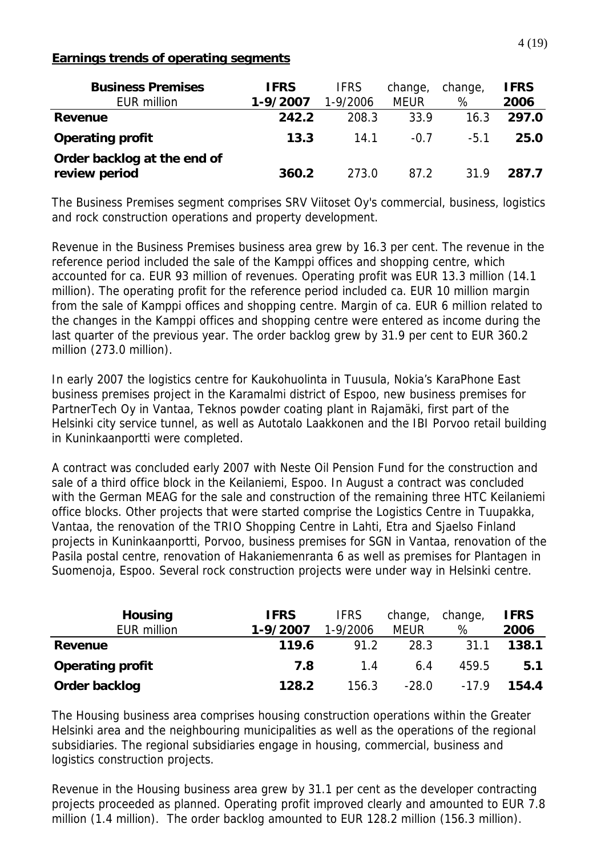# **Earnings trends of operating segments**

| <b>Business Premises</b><br><b>EUR million</b> | <b>IFRS</b><br>1-9/2007 | <b>IFRS</b><br>1-9/2006 | change,<br><b>MEUR</b> | change,<br>% | <b>IFRS</b><br>2006 |
|------------------------------------------------|-------------------------|-------------------------|------------------------|--------------|---------------------|
| Revenue                                        | 242.2                   | 208.3                   | 33.9                   | 16.3         | 297.0               |
| <b>Operating profit</b>                        | 13.3                    | 14.1                    | $-0.7$                 | $-5.1$       | 25.0                |
| Order backlog at the end of<br>review period   | 360.2                   | 273.0                   | 87.2                   | 31.9         | 287.7               |

The Business Premises segment comprises SRV Viitoset Oy's commercial, business, logistics and rock construction operations and property development.

Revenue in the Business Premises business area grew by 16.3 per cent. The revenue in the reference period included the sale of the Kamppi offices and shopping centre, which accounted for ca. EUR 93 million of revenues. Operating profit was EUR 13.3 million (14.1 million). The operating profit for the reference period included ca. EUR 10 million margin from the sale of Kamppi offices and shopping centre. Margin of ca. EUR 6 million related to the changes in the Kamppi offices and shopping centre were entered as income during the last quarter of the previous year. The order backlog grew by 31.9 per cent to EUR 360.2 million (273.0 million).

In early 2007 the logistics centre for Kaukohuolinta in Tuusula, Nokia's KaraPhone East business premises project in the Karamalmi district of Espoo, new business premises for PartnerTech Oy in Vantaa, Teknos powder coating plant in Rajamäki, first part of the Helsinki city service tunnel, as well as Autotalo Laakkonen and the IBI Porvoo retail building in Kuninkaanportti were completed.

A contract was concluded early 2007 with Neste Oil Pension Fund for the construction and sale of a third office block in the Keilaniemi, Espoo. In August a contract was concluded with the German MEAG for the sale and construction of the remaining three HTC Keilaniemi office blocks. Other projects that were started comprise the Logistics Centre in Tuupakka, Vantaa, the renovation of the TRIO Shopping Centre in Lahti, Etra and Sjaelso Finland projects in Kuninkaanportti, Porvoo, business premises for SGN in Vantaa, renovation of the Pasila postal centre, renovation of Hakaniemenranta 6 as well as premises for Plantagen in Suomenoja, Espoo. Several rock construction projects were under way in Helsinki centre.

| <b>Housing</b>          | <b>IFRS</b> | <b>IFRS</b> | change,     | change, | <b>IFRS</b> |
|-------------------------|-------------|-------------|-------------|---------|-------------|
| <b>EUR million</b>      | 1-9/2007    | 1-9/2006    | <b>MEUR</b> | %       | 2006        |
| Revenue                 | 119.6       | 91.2        | 28.3        | 31.1    | 138.1       |
| <b>Operating profit</b> | 7.8         | 1.4         | 6.4         | 459.5   | 5.1         |
| Order backlog           | 128.2       | 156.3       | $-28.0$     | $-179$  | 154.4       |

The Housing business area comprises housing construction operations within the Greater Helsinki area and the neighbouring municipalities as well as the operations of the regional subsidiaries. The regional subsidiaries engage in housing, commercial, business and logistics construction projects.

Revenue in the Housing business area grew by 31.1 per cent as the developer contracting projects proceeded as planned. Operating profit improved clearly and amounted to EUR 7.8 million (1.4 million). The order backlog amounted to EUR 128.2 million (156.3 million).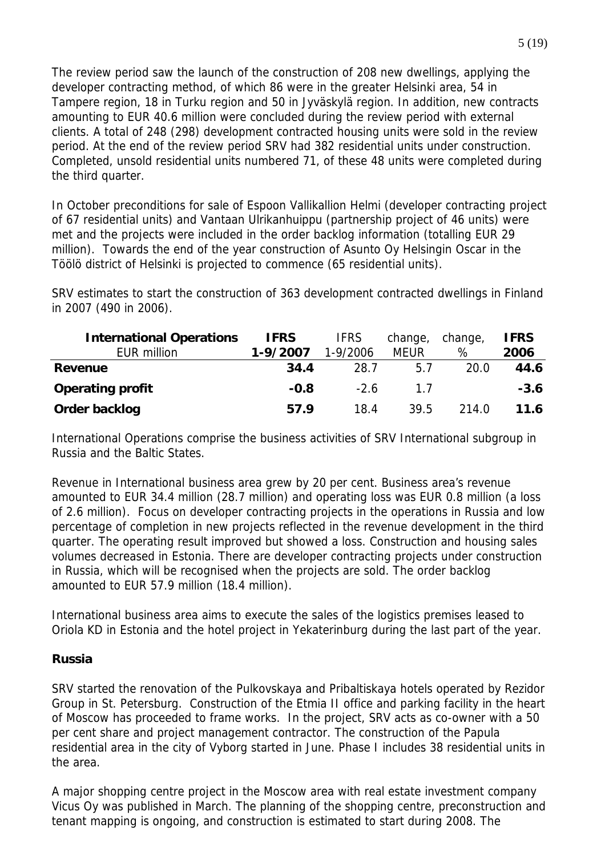The review period saw the launch of the construction of 208 new dwellings, applying the developer contracting method, of which 86 were in the greater Helsinki area, 54 in Tampere region, 18 in Turku region and 50 in Jyväskylä region. In addition, new contracts amounting to EUR 40.6 million were concluded during the review period with external clients. A total of 248 (298) development contracted housing units were sold in the review period. At the end of the review period SRV had 382 residential units under construction. Completed, unsold residential units numbered 71, of these 48 units were completed during the third quarter.

In October preconditions for sale of Espoon Vallikallion Helmi (developer contracting project of 67 residential units) and Vantaan Ulrikanhuippu (partnership project of 46 units) were met and the projects were included in the order backlog information (totalling EUR 29 million). Towards the end of the year construction of Asunto Oy Helsingin Oscar in the Töölö district of Helsinki is projected to commence (65 residential units).

SRV estimates to start the construction of 363 development contracted dwellings in Finland in 2007 (490 in 2006).

| <b>International Operations</b> | <b>IFRS</b> | <b>IFRS</b> | change,     | change, | <b>IFRS</b> |
|---------------------------------|-------------|-------------|-------------|---------|-------------|
| EUR million                     | 1-9/2007    | 1-9/2006    | <b>MEUR</b> | %       | 2006        |
| <b>Revenue</b>                  | 34.4        | 28.7        | 5.7         | 20.0    | 44.6        |
| <b>Operating profit</b>         | $-0.8$      | $-2.6$      | 17          |         | $-3.6$      |
| Order backlog                   | 57.9        | 18.4        | 39.5        | 214.0   | 11.6        |

International Operations comprise the business activities of SRV International subgroup in Russia and the Baltic States.

Revenue in International business area grew by 20 per cent. Business area's revenue amounted to EUR 34.4 million (28.7 million) and operating loss was EUR 0.8 million (a loss of 2.6 million). Focus on developer contracting projects in the operations in Russia and low percentage of completion in new projects reflected in the revenue development in the third quarter. The operating result improved but showed a loss. Construction and housing sales volumes decreased in Estonia. There are developer contracting projects under construction in Russia, which will be recognised when the projects are sold. The order backlog amounted to EUR 57.9 million (18.4 million).

International business area aims to execute the sales of the logistics premises leased to Oriola KD in Estonia and the hotel project in Yekaterinburg during the last part of the year.

## **Russia**

SRV started the renovation of the Pulkovskaya and Pribaltiskaya hotels operated by Rezidor Group in St. Petersburg. Construction of the Etmia II office and parking facility in the heart of Moscow has proceeded to frame works. In the project, SRV acts as co-owner with a 50 per cent share and project management contractor. The construction of the Papula residential area in the city of Vyborg started in June. Phase I includes 38 residential units in the area.

A major shopping centre project in the Moscow area with real estate investment company Vicus Oy was published in March. The planning of the shopping centre, preconstruction and tenant mapping is ongoing, and construction is estimated to start during 2008. The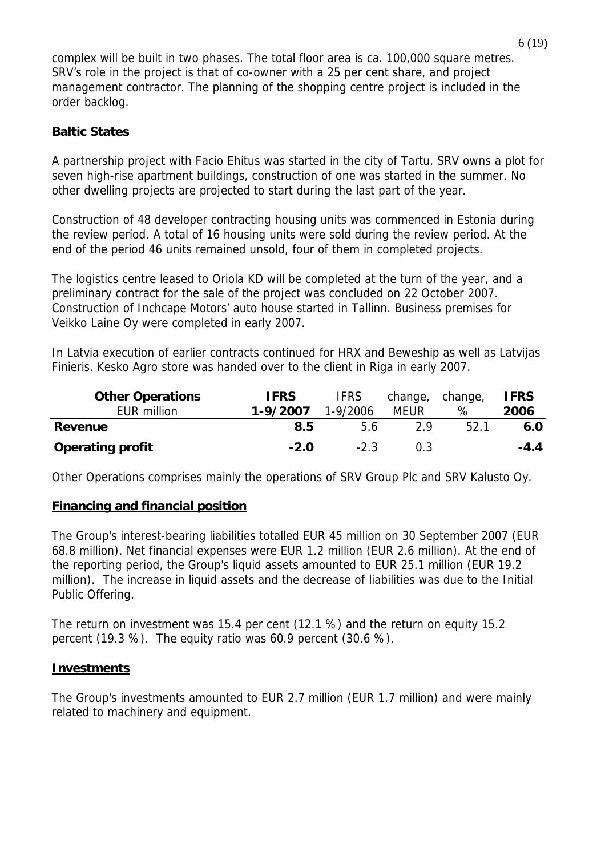complex will be built in two phases. The total floor area is ca. 100,000 square metres. SRV's role in the project is that of co-owner with a 25 per cent share, and project management contractor. The planning of the shopping centre project is included in the order backlog.

# **Baltic States**

A partnership project with Facio Ehitus was started in the city of Tartu. SRV owns a plot for seven high-rise apartment buildings, construction of one was started in the summer. No other dwelling projects are projected to start during the last part of the year.

Construction of 48 developer contracting housing units was commenced in Estonia during the review period. A total of 16 housing units were sold during the review period. At the end of the period 46 units remained unsold, four of them in completed projects.

The logistics centre leased to Oriola KD will be completed at the turn of the year, and a preliminary contract for the sale of the project was concluded on 22 October 2007. Construction of Inchcape Motors' auto house started in Tallinn. Business premises for Veikko Laine Oy were completed in early 2007.

In Latvia execution of earlier contracts continued for HRX and Beweship as well as Latvijas Finieris. Kesko Agro store was handed over to the client in Riga in early 2007.

| <b>Other Operations</b><br>EUR million | <b>IFRS</b><br>1-9/2007 | <b>IFRS</b><br>$1 - 9/2006$ | change, change,<br>MEUR | $\%$ | <b>IFRS</b><br>2006 |
|----------------------------------------|-------------------------|-----------------------------|-------------------------|------|---------------------|
| Revenue                                | 8.5                     | 5.6                         | 2 Q                     | 52.1 | 6.0                 |
| <b>Operating profit</b>                | $-2.0$                  | $-2.3$                      | 0.3                     |      | $-4.4$              |

Other Operations comprises mainly the operations of SRV Group Plc and SRV Kalusto Oy.

## **Financing and financial position**

The Group's interest-bearing liabilities totalled EUR 45 million on 30 September 2007 (EUR 68.8 million). Net financial expenses were EUR 1.2 million (EUR 2.6 million). At the end of the reporting period, the Group's liquid assets amounted to EUR 25.1 million (EUR 19.2 million). The increase in liquid assets and the decrease of liabilities was due to the Initial Public Offering.

The return on investment was 15.4 per cent (12.1 %) and the return on equity 15.2 percent (19.3 %). The equity ratio was 60.9 percent (30.6 %).

## **Investments**

The Group's investments amounted to EUR 2.7 million (EUR 1.7 million) and were mainly related to machinery and equipment.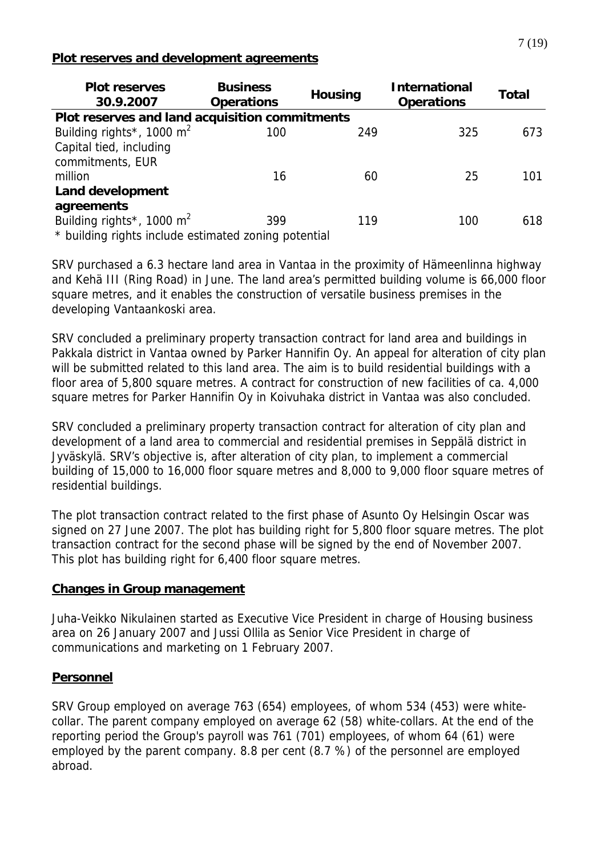#### **Plot reserves and development agreements**

| <b>Plot reserves</b><br>30.9.2007                    | <b>Business</b><br><b>Operations</b> | <b>Housing</b> | <b>International</b><br><b>Operations</b> | Total |  |  |  |  |  |
|------------------------------------------------------|--------------------------------------|----------------|-------------------------------------------|-------|--|--|--|--|--|
| Plot reserves and land acquisition commitments       |                                      |                |                                           |       |  |  |  |  |  |
| Building rights*, 1000 $m^2$                         | 100                                  | 249            | 325                                       | 673   |  |  |  |  |  |
| Capital tied, including                              |                                      |                |                                           |       |  |  |  |  |  |
| commitments, EUR                                     |                                      |                |                                           |       |  |  |  |  |  |
| million                                              | 16                                   | 60             | 25                                        | 101   |  |  |  |  |  |
| <b>Land development</b>                              |                                      |                |                                           |       |  |  |  |  |  |
| agreements                                           |                                      |                |                                           |       |  |  |  |  |  |
| Building rights*, 1000 $m^2$                         | 399                                  | 119            | 100                                       | 618   |  |  |  |  |  |
| * building rights include estimated zoning potential |                                      |                |                                           |       |  |  |  |  |  |

SRV purchased a 6.3 hectare land area in Vantaa in the proximity of Hämeenlinna highway and Kehä III (Ring Road) in June. The land area's permitted building volume is 66,000 floor square metres, and it enables the construction of versatile business premises in the developing Vantaankoski area.

SRV concluded a preliminary property transaction contract for land area and buildings in Pakkala district in Vantaa owned by Parker Hannifin Oy. An appeal for alteration of city plan will be submitted related to this land area. The aim is to build residential buildings with a floor area of 5,800 square metres. A contract for construction of new facilities of ca. 4,000 square metres for Parker Hannifin Oy in Koivuhaka district in Vantaa was also concluded.

SRV concluded a preliminary property transaction contract for alteration of city plan and development of a land area to commercial and residential premises in Seppälä district in Jyväskylä. SRV's objective is, after alteration of city plan, to implement a commercial building of 15,000 to 16,000 floor square metres and 8,000 to 9,000 floor square metres of residential buildings.

The plot transaction contract related to the first phase of Asunto Oy Helsingin Oscar was signed on 27 June 2007. The plot has building right for 5,800 floor square metres. The plot transaction contract for the second phase will be signed by the end of November 2007. This plot has building right for 6,400 floor square metres.

## **Changes in Group management**

Juha-Veikko Nikulainen started as Executive Vice President in charge of Housing business area on 26 January 2007 and Jussi Ollila as Senior Vice President in charge of communications and marketing on 1 February 2007.

## **Personnel**

SRV Group employed on average 763 (654) employees, of whom 534 (453) were whitecollar. The parent company employed on average 62 (58) white-collars. At the end of the reporting period the Group's payroll was 761 (701) employees, of whom 64 (61) were employed by the parent company. 8.8 per cent (8.7 %) of the personnel are employed abroad.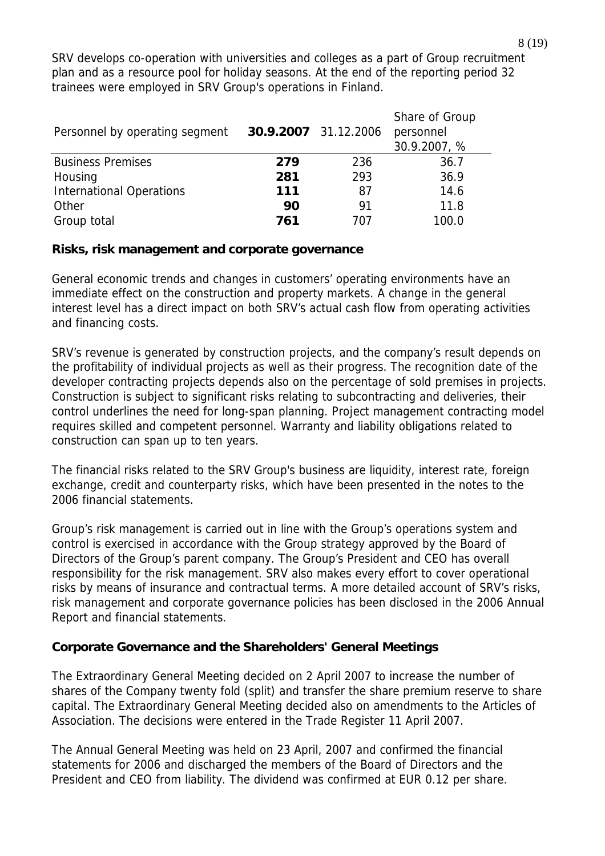SRV develops co-operation with universities and colleges as a part of Group recruitment plan and as a resource pool for holiday seasons. At the end of the reporting period 32 trainees were employed in SRV Group's operations in Finland.

| Personnel by operating segment  | 30.9.2007 31.12.2006 |     | Share of Group<br>personnel<br>30.9.2007, % |
|---------------------------------|----------------------|-----|---------------------------------------------|
| <b>Business Premises</b>        | 279                  | 236 | 36.7                                        |
| Housing                         | 281                  | 293 | 36.9                                        |
| <b>International Operations</b> | 111                  | 87  | 14.6                                        |
| Other                           | 90                   | 91  | 11.8                                        |
| Group total                     | 761                  | 707 | 100.0                                       |

#### **Risks, risk management and corporate governance**

General economic trends and changes in customers' operating environments have an immediate effect on the construction and property markets. A change in the general interest level has a direct impact on both SRV's actual cash flow from operating activities and financing costs.

SRV's revenue is generated by construction projects, and the company's result depends on the profitability of individual projects as well as their progress. The recognition date of the developer contracting projects depends also on the percentage of sold premises in projects. Construction is subject to significant risks relating to subcontracting and deliveries, their control underlines the need for long-span planning. Project management contracting model requires skilled and competent personnel. Warranty and liability obligations related to construction can span up to ten years.

The financial risks related to the SRV Group's business are liquidity, interest rate, foreign exchange, credit and counterparty risks, which have been presented in the notes to the 2006 financial statements.

Group's risk management is carried out in line with the Group's operations system and control is exercised in accordance with the Group strategy approved by the Board of Directors of the Group's parent company. The Group's President and CEO has overall responsibility for the risk management. SRV also makes every effort to cover operational risks by means of insurance and contractual terms. A more detailed account of SRV's risks, risk management and corporate governance policies has been disclosed in the 2006 Annual Report and financial statements.

## **Corporate Governance and the Shareholders' General Meetings**

The Extraordinary General Meeting decided on 2 April 2007 to increase the number of shares of the Company twenty fold (split) and transfer the share premium reserve to share capital. The Extraordinary General Meeting decided also on amendments to the Articles of Association. The decisions were entered in the Trade Register 11 April 2007.

The Annual General Meeting was held on 23 April, 2007 and confirmed the financial statements for 2006 and discharged the members of the Board of Directors and the President and CEO from liability. The dividend was confirmed at EUR 0.12 per share.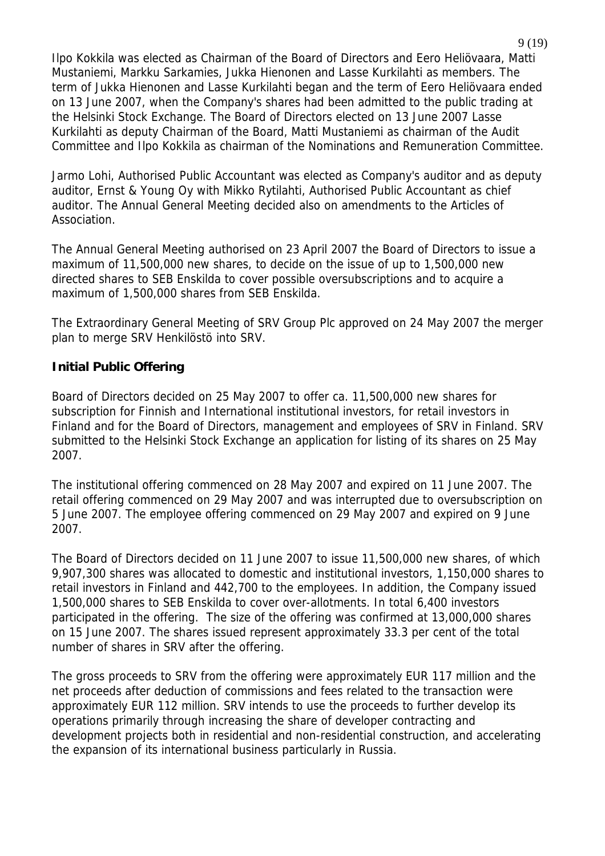Ilpo Kokkila was elected as Chairman of the Board of Directors and Eero Heliövaara, Matti Mustaniemi, Markku Sarkamies, Jukka Hienonen and Lasse Kurkilahti as members. The term of Jukka Hienonen and Lasse Kurkilahti began and the term of Eero Heliövaara ended on 13 June 2007, when the Company's shares had been admitted to the public trading at the Helsinki Stock Exchange. The Board of Directors elected on 13 June 2007 Lasse Kurkilahti as deputy Chairman of the Board, Matti Mustaniemi as chairman of the Audit Committee and Ilpo Kokkila as chairman of the Nominations and Remuneration Committee.

Jarmo Lohi, Authorised Public Accountant was elected as Company's auditor and as deputy auditor, Ernst & Young Oy with Mikko Rytilahti, Authorised Public Accountant as chief auditor. The Annual General Meeting decided also on amendments to the Articles of Association.

The Annual General Meeting authorised on 23 April 2007 the Board of Directors to issue a maximum of 11,500,000 new shares, to decide on the issue of up to 1,500,000 new directed shares to SEB Enskilda to cover possible oversubscriptions and to acquire a maximum of 1,500,000 shares from SEB Enskilda.

The Extraordinary General Meeting of SRV Group Plc approved on 24 May 2007 the merger plan to merge SRV Henkilöstö into SRV.

## **Initial Public Offering**

Board of Directors decided on 25 May 2007 to offer ca. 11,500,000 new shares for subscription for Finnish and International institutional investors, for retail investors in Finland and for the Board of Directors, management and employees of SRV in Finland. SRV submitted to the Helsinki Stock Exchange an application for listing of its shares on 25 May 2007.

The institutional offering commenced on 28 May 2007 and expired on 11 June 2007. The retail offering commenced on 29 May 2007 and was interrupted due to oversubscription on 5 June 2007. The employee offering commenced on 29 May 2007 and expired on 9 June 2007.

The Board of Directors decided on 11 June 2007 to issue 11,500,000 new shares, of which 9,907,300 shares was allocated to domestic and institutional investors, 1,150,000 shares to retail investors in Finland and 442,700 to the employees. In addition, the Company issued 1,500,000 shares to SEB Enskilda to cover over-allotments. In total 6,400 investors participated in the offering. The size of the offering was confirmed at 13,000,000 shares on 15 June 2007. The shares issued represent approximately 33.3 per cent of the total number of shares in SRV after the offering.

The gross proceeds to SRV from the offering were approximately EUR 117 million and the net proceeds after deduction of commissions and fees related to the transaction were approximately EUR 112 million. SRV intends to use the proceeds to further develop its operations primarily through increasing the share of developer contracting and development projects both in residential and non-residential construction, and accelerating the expansion of its international business particularly in Russia.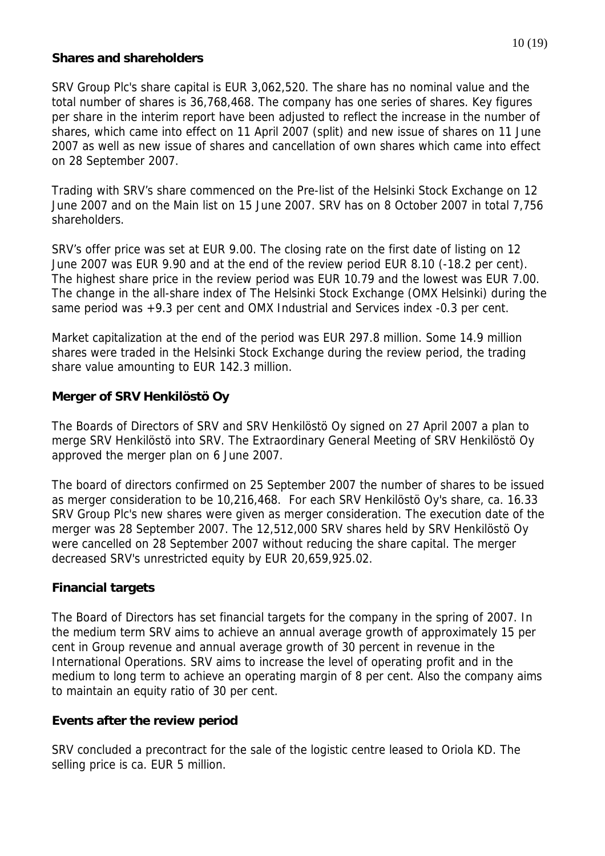#### **Shares and shareholders**

SRV Group Plc's share capital is EUR 3,062,520. The share has no nominal value and the total number of shares is 36,768,468. The company has one series of shares. Key figures per share in the interim report have been adjusted to reflect the increase in the number of shares, which came into effect on 11 April 2007 (split) and new issue of shares on 11 June 2007 as well as new issue of shares and cancellation of own shares which came into effect on 28 September 2007.

Trading with SRV's share commenced on the Pre-list of the Helsinki Stock Exchange on 12 June 2007 and on the Main list on 15 June 2007. SRV has on 8 October 2007 in total 7,756 shareholders.

SRV's offer price was set at EUR 9.00. The closing rate on the first date of listing on 12 June 2007 was EUR 9.90 and at the end of the review period EUR 8.10 (-18.2 per cent). The highest share price in the review period was EUR 10.79 and the lowest was EUR 7.00. The change in the all-share index of The Helsinki Stock Exchange (OMX Helsinki) during the same period was +9.3 per cent and OMX Industrial and Services index -0.3 per cent.

Market capitalization at the end of the period was EUR 297.8 million. Some 14.9 million shares were traded in the Helsinki Stock Exchange during the review period, the trading share value amounting to EUR 142.3 million.

# **Merger of SRV Henkilöstö Oy**

The Boards of Directors of SRV and SRV Henkilöstö Oy signed on 27 April 2007 a plan to merge SRV Henkilöstö into SRV. The Extraordinary General Meeting of SRV Henkilöstö Oy approved the merger plan on 6 June 2007.

The board of directors confirmed on 25 September 2007 the number of shares to be issued as merger consideration to be 10,216,468. For each SRV Henkilöstö Oy's share, ca. 16.33 SRV Group Plc's new shares were given as merger consideration. The execution date of the merger was 28 September 2007. The 12,512,000 SRV shares held by SRV Henkilöstö Oy were cancelled on 28 September 2007 without reducing the share capital. The merger decreased SRV's unrestricted equity by EUR 20,659,925.02.

## **Financial targets**

The Board of Directors has set financial targets for the company in the spring of 2007. In the medium term SRV aims to achieve an annual average growth of approximately 15 per cent in Group revenue and annual average growth of 30 percent in revenue in the International Operations. SRV aims to increase the level of operating profit and in the medium to long term to achieve an operating margin of 8 per cent. Also the company aims to maintain an equity ratio of 30 per cent.

## **Events after the review period**

SRV concluded a precontract for the sale of the logistic centre leased to Oriola KD. The selling price is ca. EUR 5 million.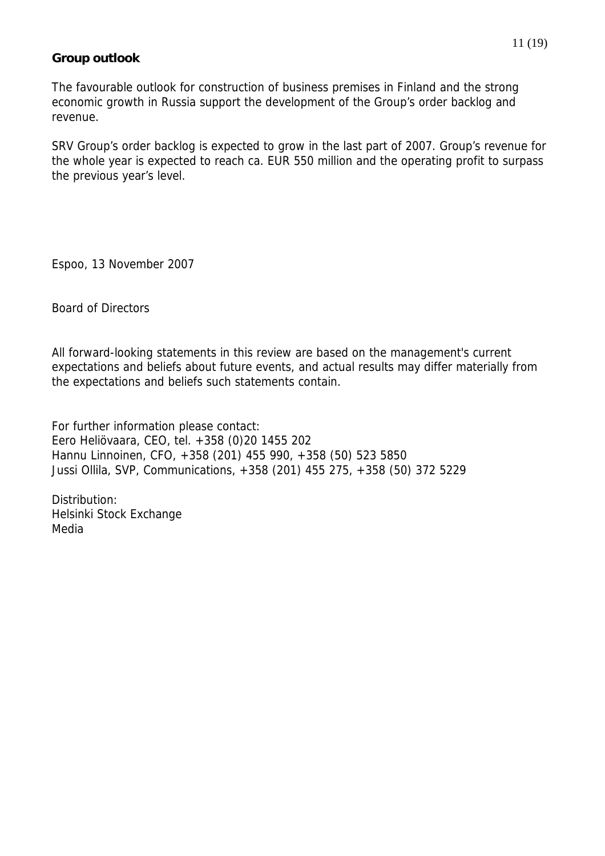#### **Group outlook**

The favourable outlook for construction of business premises in Finland and the strong economic growth in Russia support the development of the Group's order backlog and revenue.

SRV Group's order backlog is expected to grow in the last part of 2007. Group's revenue for the whole year is expected to reach ca. EUR 550 million and the operating profit to surpass the previous year's level.

Espoo, 13 November 2007

#### Board of Directors

All forward-looking statements in this review are based on the management's current expectations and beliefs about future events, and actual results may differ materially from the expectations and beliefs such statements contain.

For further information please contact: Eero Heliövaara, CEO, tel. +358 (0)20 1455 202 Hannu Linnoinen, CFO, +358 (201) 455 990, +358 (50) 523 5850 Jussi Ollila, SVP, Communications, +358 (201) 455 275, +358 (50) 372 5229

Distribution: Helsinki Stock Exchange Media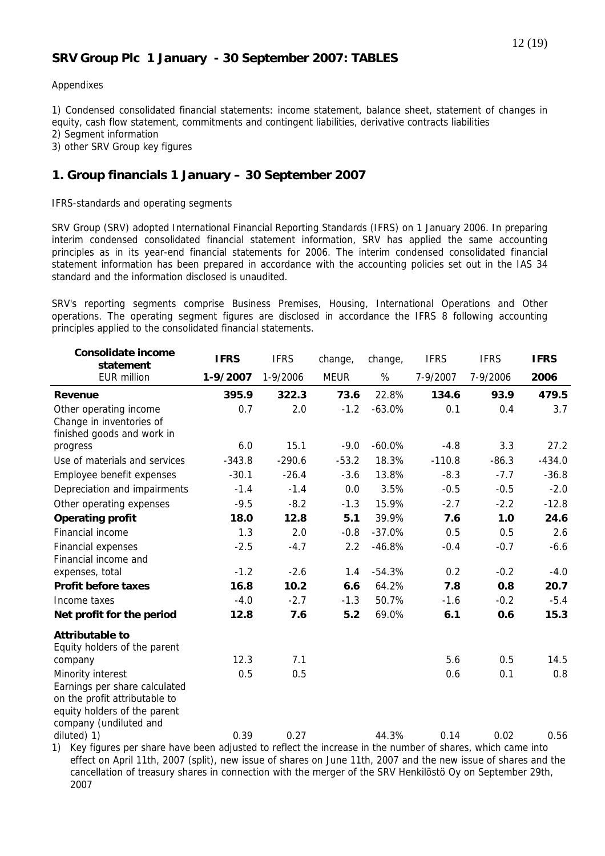#### **SRV Group Plc 1 January - 30 September 2007: TABLES**

#### Appendixes

1) Condensed consolidated financial statements: income statement, balance sheet, statement of changes in equity, cash flow statement, commitments and contingent liabilities, derivative contracts liabilities 2) Segment information

3) other SRV Group key figures

#### **1. Group financials 1 January – 30 September 2007**

IFRS-standards and operating segments

SRV Group (SRV) adopted International Financial Reporting Standards (IFRS) on 1 January 2006. In preparing interim condensed consolidated financial statement information, SRV has applied the same accounting principles as in its year-end financial statements for 2006. The interim condensed consolidated financial statement information has been prepared in accordance with the accounting policies set out in the IAS 34 standard and the information disclosed is unaudited.

SRV's reporting segments comprise Business Premises, Housing, International Operations and Other operations. The operating segment figures are disclosed in accordance the IFRS 8 following accounting principles applied to the consolidated financial statements.

| <b>Consolidate income</b><br>statement                                                                                   | <b>IFRS</b> | <b>IFRS</b> | change,     | change,  | <b>IFRS</b> | <b>IFRS</b> | <b>IFRS</b> |
|--------------------------------------------------------------------------------------------------------------------------|-------------|-------------|-------------|----------|-------------|-------------|-------------|
| <b>EUR million</b>                                                                                                       | 1-9/2007    | 1-9/2006    | <b>MEUR</b> | %        | 7-9/2007    | 7-9/2006    | 2006        |
| Revenue                                                                                                                  | 395.9       | 322.3       | 73.6        | 22.8%    | 134.6       | 93.9        | 479.5       |
| Other operating income                                                                                                   | 0.7         | 2.0         | $-1.2$      | $-63.0%$ | 0.1         | 0.4         | 3.7         |
| Change in inventories of<br>finished goods and work in                                                                   |             |             |             |          |             |             |             |
| progress                                                                                                                 | 6.0         | 15.1        | $-9.0$      | $-60.0%$ | $-4.8$      | 3.3         | 27.2        |
| Use of materials and services                                                                                            | $-343.8$    | $-290.6$    | $-53.2$     | 18.3%    | $-110.8$    | $-86.3$     | $-434.0$    |
| Employee benefit expenses                                                                                                | $-30.1$     | $-26.4$     | $-3.6$      | 13.8%    | $-8.3$      | $-7.7$      | $-36.8$     |
| Depreciation and impairments                                                                                             | $-1.4$      | $-1.4$      | 0.0         | 3.5%     | $-0.5$      | $-0.5$      | $-2.0$      |
| Other operating expenses                                                                                                 | $-9.5$      | $-8.2$      | $-1.3$      | 15.9%    | $-2.7$      | $-2.2$      | $-12.8$     |
| <b>Operating profit</b>                                                                                                  | 18.0        | 12.8        | 5.1         | 39.9%    | 7.6         | 1.0         | 24.6        |
| Financial income                                                                                                         | 1.3         | 2.0         | $-0.8$      | $-37.0%$ | 0.5         | 0.5         | 2.6         |
| <b>Financial expenses</b><br>Financial income and                                                                        | $-2.5$      | $-4.7$      | 2.2         | $-46.8%$ | $-0.4$      | $-0.7$      | $-6.6$      |
| expenses, total                                                                                                          | $-1.2$      | $-2.6$      | 1.4         | $-54.3%$ | 0.2         | $-0.2$      | $-4.0$      |
| <b>Profit before taxes</b>                                                                                               | 16.8        | 10.2        | 6.6         | 64.2%    | 7.8         | 0.8         | 20.7        |
| Income taxes                                                                                                             | $-4.0$      | $-2.7$      | $-1.3$      | 50.7%    | $-1.6$      | $-0.2$      | $-5.4$      |
| Net profit for the period                                                                                                | 12.8        | 7.6         | 5.2         | 69.0%    | 6.1         | 0.6         | 15.3        |
| <b>Attributable to</b><br>Equity holders of the parent                                                                   |             |             |             |          |             |             |             |
| company                                                                                                                  | 12.3        | 7.1         |             |          | 5.6         | 0.5         | 14.5        |
| Minority interest                                                                                                        | 0.5         | 0.5         |             |          | 0.6         | 0.1         | 0.8         |
| Earnings per share calculated<br>on the profit attributable to<br>equity holders of the parent<br>company (undiluted and |             |             |             |          |             |             |             |
| diluted) 1)                                                                                                              | 0.39        | 0.27        |             | 44.3%    | 0.14        | 0.02        | 0.56        |
| 1) Key figures per share have been adjusted to reflect the increase in the number of shares, which came into             |             |             |             |          |             |             |             |

1) Key figures per share have been adjusted to reflect the increase in the number of shares, which came into effect on April 11th, 2007 (split), new issue of shares on June 11th, 2007 and the new issue of shares and the cancellation of treasury shares in connection with the merger of the SRV Henkilöstö Oy on September 29th, 2007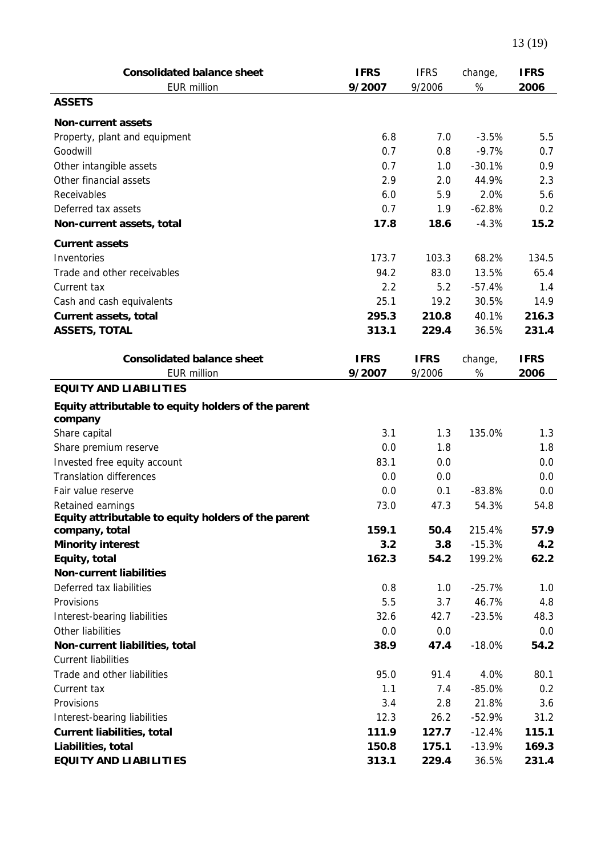| <b>Consolidated balance sheet</b><br><b>EUR million</b>        | <b>IFRS</b><br>9/2007 | <b>IFRS</b><br>9/2006 | change,<br>$\%$ | <b>IFRS</b><br>2006 |
|----------------------------------------------------------------|-----------------------|-----------------------|-----------------|---------------------|
| <b>ASSETS</b>                                                  |                       |                       |                 |                     |
| <b>Non-current assets</b>                                      |                       |                       |                 |                     |
| Property, plant and equipment                                  | 6.8                   | 7.0                   | $-3.5%$         | 5.5                 |
| Goodwill                                                       | 0.7                   | 0.8                   | $-9.7%$         | 0.7                 |
| Other intangible assets                                        | 0.7                   | 1.0                   | $-30.1%$        | 0.9                 |
| Other financial assets                                         | 2.9                   | 2.0                   | 44.9%           | 2.3                 |
| Receivables                                                    | 6.0                   | 5.9                   | 2.0%            | 5.6                 |
| Deferred tax assets                                            | 0.7                   | 1.9                   | $-62.8%$        | 0.2                 |
| Non-current assets, total                                      | 17.8                  | 18.6                  | $-4.3%$         | 15.2                |
| <b>Current assets</b>                                          |                       |                       |                 |                     |
| Inventories                                                    | 173.7                 | 103.3                 | 68.2%           | 134.5               |
| Trade and other receivables                                    | 94.2                  | 83.0                  | 13.5%           | 65.4                |
| Current tax                                                    | 2.2                   | 5.2                   | $-57.4%$        | 1.4                 |
| Cash and cash equivalents                                      | 25.1                  | 19.2                  | 30.5%           | 14.9                |
| <b>Current assets, total</b>                                   | 295.3                 | 210.8                 | 40.1%           | 216.3               |
| <b>ASSETS, TOTAL</b>                                           | 313.1                 | 229.4                 | 36.5%           | 231.4               |
|                                                                |                       |                       |                 |                     |
| <b>Consolidated balance sheet</b>                              | <b>IFRS</b>           | <b>IFRS</b>           | change,         | <b>IFRS</b>         |
| <b>EUR million</b>                                             | 9/2007                | 9/2006                | $\%$            | 2006                |
| <b>EQUITY AND LIABILITIES</b>                                  |                       |                       |                 |                     |
| Equity attributable to equity holders of the parent<br>company |                       |                       |                 |                     |
| Share capital                                                  | 3.1                   | 1.3                   | 135.0%          | 1.3                 |
| Share premium reserve                                          | 0.0                   | 1.8                   |                 | 1.8                 |
| Invested free equity account                                   | 83.1                  | 0.0                   |                 | 0.0                 |
| <b>Translation differences</b>                                 | 0.0                   | 0.0                   |                 | 0.0                 |
| Fair value reserve                                             | 0.0                   | 0.1                   | $-83.8%$        | 0.0                 |
| Retained earnings                                              | 73.0                  | 47.3                  | 54.3%           | 54.8                |
| Equity attributable to equity holders of the parent            |                       |                       |                 |                     |
| company, total                                                 | 159.1                 | 50.4                  | 215.4%          | 57.9                |
| <b>Minority interest</b>                                       | 3.2                   | 3.8                   | $-15.3%$        | 4.2                 |
| Equity, total                                                  | 162.3                 | 54.2                  | 199.2%          | 62.2                |
| <b>Non-current liabilities</b>                                 |                       |                       |                 |                     |
| Deferred tax liabilities                                       | 0.8                   | 1.0                   | $-25.7%$        | 1.0                 |
| Provisions                                                     | 5.5                   | 3.7                   | 46.7%           | 4.8                 |
| Interest-bearing liabilities                                   | 32.6                  | 42.7                  | $-23.5%$        | 48.3                |
| Other liabilities                                              | 0.0                   | 0.0                   |                 | 0.0                 |
| Non-current liabilities, total                                 | 38.9                  | 47.4                  | $-18.0%$        | 54.2                |
| <b>Current liabilities</b>                                     |                       |                       |                 |                     |
| Trade and other liabilities                                    | 95.0                  | 91.4                  | 4.0%            | 80.1                |
| Current tax                                                    | 1.1                   | 7.4                   | $-85.0%$        | 0.2                 |
| Provisions                                                     | 3.4                   | 2.8                   | 21.8%           | 3.6                 |
| Interest-bearing liabilities                                   | 12.3                  | 26.2                  | $-52.9%$        | 31.2                |
| <b>Current liabilities, total</b>                              | 111.9                 | 127.7                 | $-12.4%$        | 115.1               |
| Liabilities, total                                             | 150.8                 | 175.1                 | $-13.9%$        | 169.3               |
| <b>EQUITY AND LIABILITIES</b>                                  | 313.1                 | 229.4                 | 36.5%           | 231.4               |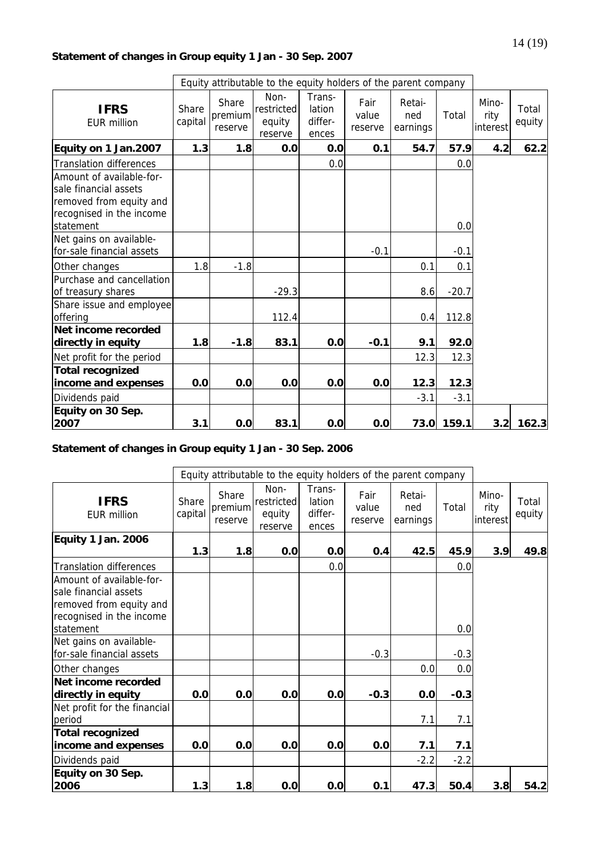## **Statement of changes in Group equity 1 Jan - 30 Sep. 2007**

|                                                                                                                       |                  |                             | Equity attributable to the equity holders of the parent company |                                      |                          |                           |         |                           |                 |
|-----------------------------------------------------------------------------------------------------------------------|------------------|-----------------------------|-----------------------------------------------------------------|--------------------------------------|--------------------------|---------------------------|---------|---------------------------|-----------------|
| <b>IFRS</b><br>FUR million                                                                                            | Share<br>capital | Share<br>premium<br>reserve | Non-<br>restricted<br>equity<br>reserve                         | Trans-<br>lation<br>differ-<br>ences | Fair<br>value<br>reserve | Retai-<br>ned<br>earnings | Total   | Mino-<br>rity<br>interest | Total<br>equity |
| Equity on 1 Jan.2007                                                                                                  | 1.3              | 1.8                         | 0.0                                                             | 0.0                                  | 0.1                      | 54.7                      | 57.9    | 4.2                       | 62.2            |
| <b>Translation differences</b>                                                                                        |                  |                             |                                                                 | 0.0                                  |                          |                           | 0.0     |                           |                 |
| Amount of available-for-<br>sale financial assets<br>removed from equity and<br>recognised in the income<br>statement |                  |                             |                                                                 |                                      |                          |                           | 0.0     |                           |                 |
| Net gains on available-<br>for-sale financial assets                                                                  |                  |                             |                                                                 |                                      | $-0.1$                   |                           | $-0.1$  |                           |                 |
| Other changes                                                                                                         | 1.8              | $-1.8$                      |                                                                 |                                      |                          | 0.1                       | 0.1     |                           |                 |
| Purchase and cancellation<br>of treasury shares                                                                       |                  |                             | $-29.3$                                                         |                                      |                          | 8.6                       | $-20.7$ |                           |                 |
| Share issue and employee<br>offering                                                                                  |                  |                             | 112.4                                                           |                                      |                          | 0.4                       | 112.8   |                           |                 |
| Net income recorded<br>directly in equity                                                                             | 1.8              | $-1.8$                      | 83.1                                                            | 0.0                                  | $-0.1$                   | 9.1                       | 92.0    |                           |                 |
| Net profit for the period                                                                                             |                  |                             |                                                                 |                                      |                          | 12.3                      | 12.3    |                           |                 |
| <b>Total recognized</b><br>income and expenses                                                                        | 0.0              | 0.0                         | 0.0                                                             | 0.0                                  | 0.0                      | 12.3                      | 12.3    |                           |                 |
| Dividends paid                                                                                                        |                  |                             |                                                                 |                                      |                          | $-3.1$                    | $-3.1$  |                           |                 |
| Equity on 30 Sep.<br>2007                                                                                             | 3.1              | 0.0                         | 83.1                                                            | 0.0                                  | 0.0                      | 73.0                      | 159.1   | 3.2                       | 162.3           |

**Statement of changes in Group equity 1 Jan - 30 Sep. 2006** 

|                                                                                                                       |                  |                             | Equity attributable to the equity holders of the parent company |                                      |                          |                           |        |                           |                 |
|-----------------------------------------------------------------------------------------------------------------------|------------------|-----------------------------|-----------------------------------------------------------------|--------------------------------------|--------------------------|---------------------------|--------|---------------------------|-----------------|
| <b>IFRS</b><br><b>EUR million</b>                                                                                     | Share<br>capital | Share<br>premium<br>reserve | Non-<br>restricted<br>equity<br>reserve                         | Trans-<br>lation<br>differ-<br>ences | Fair<br>value<br>reserve | Retai-<br>ned<br>earnings | Total  | Mino-<br>rity<br>interest | Total<br>equity |
| Equity 1 Jan. 2006                                                                                                    | 1.3              | 1.8                         | 0.0                                                             | 0.0                                  | 0.4                      | 42.5                      | 45.9   | 3.9                       | 49.8            |
| <b>Translation differences</b>                                                                                        |                  |                             |                                                                 | 0.0                                  |                          |                           | 0.0    |                           |                 |
| Amount of available-for-<br>sale financial assets<br>removed from equity and<br>recognised in the income<br>statement |                  |                             |                                                                 |                                      |                          |                           | 0.0    |                           |                 |
| Net gains on available-<br>for-sale financial assets                                                                  |                  |                             |                                                                 |                                      | $-0.3$                   |                           | $-0.3$ |                           |                 |
| Other changes                                                                                                         |                  |                             |                                                                 |                                      |                          | 0.0                       | 0.0    |                           |                 |
| Net income recorded<br>directly in equity                                                                             | 0.0              | 0.0                         | 0.0                                                             | 0.0                                  | $-0.3$                   | 0.0                       | $-0.3$ |                           |                 |
| Net profit for the financial<br>period                                                                                |                  |                             |                                                                 |                                      |                          | 7.1                       | 7.1    |                           |                 |
| <b>Total recognized</b>                                                                                               |                  |                             |                                                                 |                                      |                          |                           |        |                           |                 |
| income and expenses                                                                                                   | 0.0              | 0.0                         | 0.0                                                             | 0.0                                  | 0.0                      | 7.1                       | 7.1    |                           |                 |
| Dividends paid                                                                                                        |                  |                             |                                                                 |                                      |                          | $-2.2$                    | $-2.2$ |                           |                 |
| Equity on 30 Sep.<br>2006                                                                                             | 1.3              | 1.8                         | 0.0                                                             | 0.0                                  | 0.1                      | 47.3                      | 50.4   | 3.8                       | 54.2            |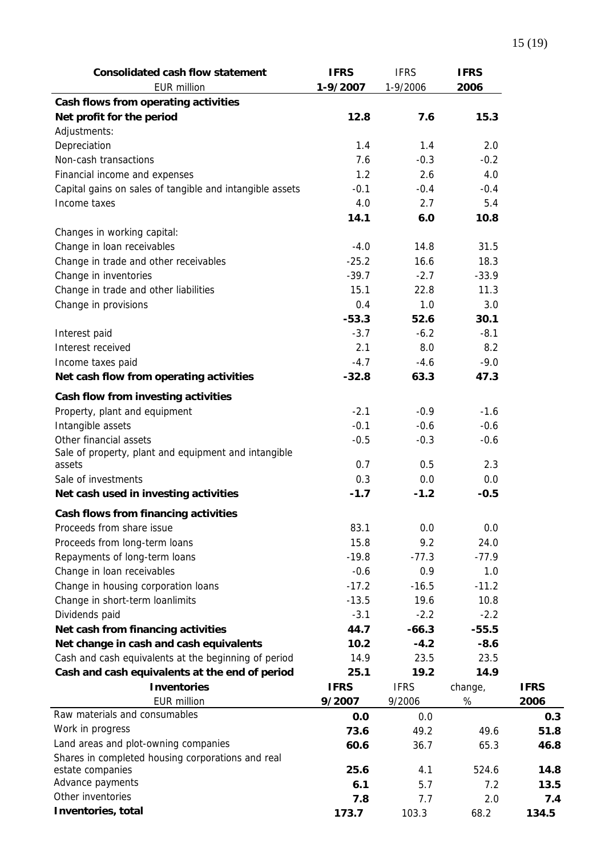| <b>Consolidated cash flow statement</b>                  | <b>IFRS</b> | <b>IFRS</b> | <b>IFRS</b> |             |
|----------------------------------------------------------|-------------|-------------|-------------|-------------|
| <b>EUR million</b>                                       | 1-9/2007    | 1-9/2006    | 2006        |             |
| Cash flows from operating activities                     |             |             |             |             |
| Net profit for the period                                | 12.8        | 7.6         | 15.3        |             |
| Adjustments:                                             |             |             |             |             |
| Depreciation                                             | 1.4         | 1.4         | 2.0         |             |
| Non-cash transactions                                    | 7.6         | $-0.3$      | $-0.2$      |             |
| Financial income and expenses                            | 1.2         | 2.6         | 4.0         |             |
| Capital gains on sales of tangible and intangible assets | $-0.1$      | $-0.4$      | $-0.4$      |             |
| Income taxes                                             | 4.0         | 2.7         | 5.4         |             |
|                                                          | 14.1        | 6.0         | 10.8        |             |
| Changes in working capital:                              |             |             |             |             |
| Change in loan receivables                               | $-4.0$      | 14.8        | 31.5        |             |
| Change in trade and other receivables                    | $-25.2$     | 16.6        | 18.3        |             |
| Change in inventories                                    | $-39.7$     | $-2.7$      | $-33.9$     |             |
| Change in trade and other liabilities                    | 15.1        | 22.8        | 11.3        |             |
| Change in provisions                                     | 0.4         | 1.0         | 3.0         |             |
|                                                          | $-53.3$     | 52.6        | 30.1        |             |
| Interest paid                                            | $-3.7$      | $-6.2$      | $-8.1$      |             |
| Interest received                                        | 2.1         | 8.0         | 8.2         |             |
| Income taxes paid                                        | $-4.7$      | $-4.6$      | $-9.0$      |             |
| Net cash flow from operating activities                  | $-32.8$     | 63.3        | 47.3        |             |
| Cash flow from investing activities                      |             |             |             |             |
| Property, plant and equipment                            | $-2.1$      | $-0.9$      | $-1.6$      |             |
| Intangible assets                                        | $-0.1$      | $-0.6$      | $-0.6$      |             |
| Other financial assets                                   | $-0.5$      | $-0.3$      | $-0.6$      |             |
| Sale of property, plant and equipment and intangible     |             |             |             |             |
| assets                                                   | 0.7         | 0.5         | 2.3         |             |
| Sale of investments                                      | 0.3         | 0.0         | 0.0         |             |
| Net cash used in investing activities                    | $-1.7$      | $-1.2$      | $-0.5$      |             |
| Cash flows from financing activities                     |             |             |             |             |
| Proceeds from share issue                                | 83.1        | 0.0         | 0.0         |             |
| Proceeds from long-term loans                            | 15.8        | 9.2         | 24.0        |             |
| Repayments of long-term loans                            | $-19.8$     | $-77.3$     | $-77.9$     |             |
| Change in loan receivables                               | $-0.6$      | 0.9         | 1.0         |             |
| Change in housing corporation loans                      | $-17.2$     | $-16.5$     | $-11.2$     |             |
| Change in short-term loanlimits                          | $-13.5$     | 19.6        | 10.8        |             |
| Dividends paid                                           | $-3.1$      | $-2.2$      | $-2.2$      |             |
| Net cash from financing activities                       | 44.7        | $-66.3$     | $-55.5$     |             |
| Net change in cash and cash equivalents                  | 10.2        | $-4.2$      | $-8.6$      |             |
| Cash and cash equivalents at the beginning of period     | 14.9        | 23.5        | 23.5        |             |
| Cash and cash equivalents at the end of period           | 25.1        | 19.2        | 14.9        |             |
| <b>Inventories</b>                                       | <b>IFRS</b> | <b>IFRS</b> | change,     | <b>IFRS</b> |
| <b>EUR million</b>                                       | 9/2007      | 9/2006      | %           | 2006        |
| Raw materials and consumables                            | 0.0         | 0.0         |             | 0.3         |
| Work in progress                                         | 73.6        | 49.2        | 49.6        | 51.8        |
| Land areas and plot-owning companies                     | 60.6        | 36.7        | 65.3        | 46.8        |
| Shares in completed housing corporations and real        |             |             |             |             |
| estate companies                                         | 25.6        | 4.1         | 524.6       | 14.8        |
| Advance payments                                         | 6.1         | 5.7         | 7.2         | 13.5        |
| Other inventories                                        | 7.8         | 7.7         | 2.0         | 7.4         |
| Inventories, total                                       | 173.7       | 103.3       | 68.2        | 134.5       |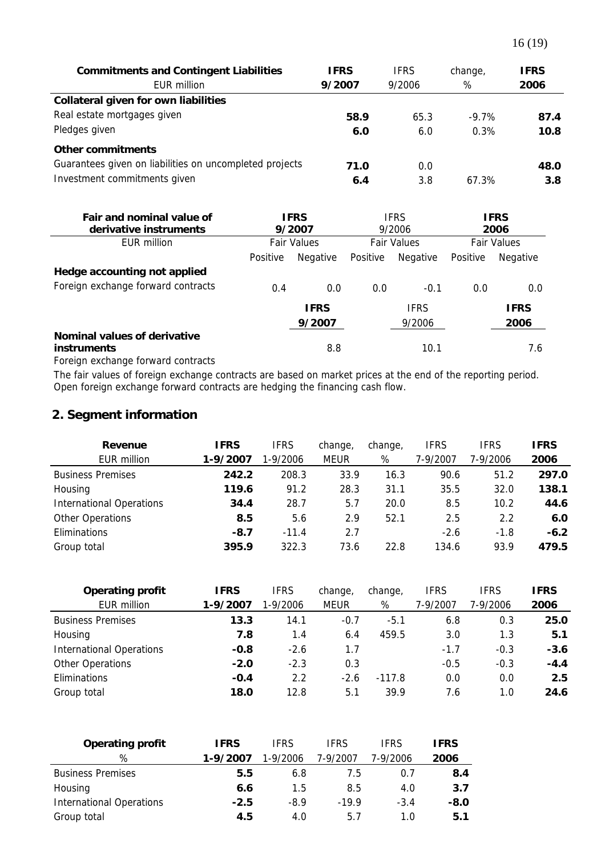| <b>Commitments and Contingent Liabilities</b><br>EUR million | <b>IFRS</b><br>9/2007 | <b>IFRS</b><br>9/2006 | change,<br>% | <b>IFRS</b><br>2006 |
|--------------------------------------------------------------|-----------------------|-----------------------|--------------|---------------------|
| Collateral given for own liabilities                         |                       |                       |              |                     |
| Real estate mortgages given                                  | 58.9                  | 65.3                  | $-9.7\%$     | 87.4                |
| Pledges given                                                | 6.0                   | 6.0                   | 0.3%         | 10.8                |
| Other commitments                                            |                       |                       |              |                     |
| Guarantees given on liabilities on uncompleted projects      | 71.0                  | 0.0                   |              | 48.0                |
| Investment commitments given                                 | 6.4                   | 3.8                   | 67.3%        | 3.8                 |

| Fair and nominal value of<br>derivative instruments | <b>IFRS</b><br>9/2007 |                       | IFRS<br>9/2006     |                       |                    | <b>IFRS</b><br>2006 |
|-----------------------------------------------------|-----------------------|-----------------------|--------------------|-----------------------|--------------------|---------------------|
| EUR million                                         |                       | <b>Fair Values</b>    | <b>Fair Values</b> |                       | <b>Fair Values</b> |                     |
|                                                     | Positive              | Negative              | Positive           | Negative              | Positive           | Negative            |
| Hedge accounting not applied                        |                       |                       |                    |                       |                    |                     |
| Foreign exchange forward contracts                  | 0.4                   | 0.0                   | 0.0                | $-0.1$                | 0.0                | 0.0                 |
|                                                     |                       | <b>IFRS</b><br>9/2007 |                    | <b>IFRS</b><br>9/2006 |                    | <b>IFRS</b><br>2006 |
| Nominal values of derivative<br><b>instruments</b>  |                       | 8.8                   |                    | 10.1                  |                    | 7.6                 |

Foreign exchange forward contracts

The fair values of foreign exchange contracts are based on market prices at the end of the reporting period. Open foreign exchange forward contracts are hedging the financing cash flow.

## **2. Segment information**

| Revenue                         | <b>IFRS</b> | <b>IFRS</b> | change,     | change, | <b>IFRS</b> | <b>IFRS</b> | <b>IFRS</b> |
|---------------------------------|-------------|-------------|-------------|---------|-------------|-------------|-------------|
| EUR million                     | 1-9/2007    | 1-9/2006    | <b>MEUR</b> | %       | 7-9/2007    | 7-9/2006    | 2006        |
| <b>Business Premises</b>        | 242.2       | 208.3       | 33.9        | 16.3    | 90.6        | 51.2        | 297.0       |
| Housing                         | 119.6       | 91.2        | 28.3        | 31.1    | 35.5        | 32.0        | 138.1       |
| <b>International Operations</b> | 34.4        | 28.7        | 5.7         | 20.0    | 8.5         | 10.2        | 44.6        |
| Other Operations                | 8.5         | 5.6         | 2.9         | 52.1    | 2.5         | 2.2         | 6.0         |
| Eliminations                    | $-8.7$      | $-11.4$     | 2.7         |         | $-2.6$      | $-1.8$      | $-6.2$      |
| Group total                     | 395.9       | 322.3       | 73.6        | 22.8    | 134.6       | 93.9        | 479.5       |

| <b>Operating profit</b>         | <b>IFRS</b> | <b>IFRS</b> | change,     | change,  | <b>IFRS</b> | <b>IFRS</b> | <b>IFRS</b> |
|---------------------------------|-------------|-------------|-------------|----------|-------------|-------------|-------------|
| EUR million                     | 1-9/2007    | 1-9/2006    | <b>MEUR</b> | %        | 7-9/2007    | 7-9/2006    | 2006        |
| <b>Business Premises</b>        | 13.3        | 14.1        | $-0.7$      | $-5.1$   | 6.8         | 0.3         | 25.0        |
| Housing                         | 7.8         | 1.4         | 6.4         | 459.5    | 3.0         | 1.3         | 5.1         |
| <b>International Operations</b> | $-0.8$      | $-2.6$      | 1.7         |          | $-1.7$      | $-0.3$      | $-3.6$      |
| <b>Other Operations</b>         | $-2.0$      | $-2.3$      | 0.3         |          | $-0.5$      | $-0.3$      | $-4.4$      |
| Eliminations                    | $-0.4$      | 2.2         | $-2.6$      | $-117.8$ | 0.0         | 0.0         | 2.5         |
| Group total                     | 18.0        | 12.8        | 5.1         | 39.9     | 7.6         | 1.0         | 24.6        |

| <b>Operating profit</b>         | <b>IFRS</b> | IFRS     | <b>IFRS</b> | <b>IFRS</b> | <b>IFRS</b> |
|---------------------------------|-------------|----------|-------------|-------------|-------------|
| %                               | 1-9/2007    | 1-9/2006 | 7-9/2007    | 7-9/2006    | 2006        |
| <b>Business Premises</b>        | 5.5         | 6.8      | 7.5         | 0.7         | 8.4         |
| Housing                         | 6.6         | 1.5      | 8.5         | 4.0         | 3.7         |
| <b>International Operations</b> | $-2.5$      | -8.9     | $-199$      | $-3.4$      | $-8.0$      |
| Group total                     | 4.5         | 4.0      | 5.7         | 1.0         | 5.1         |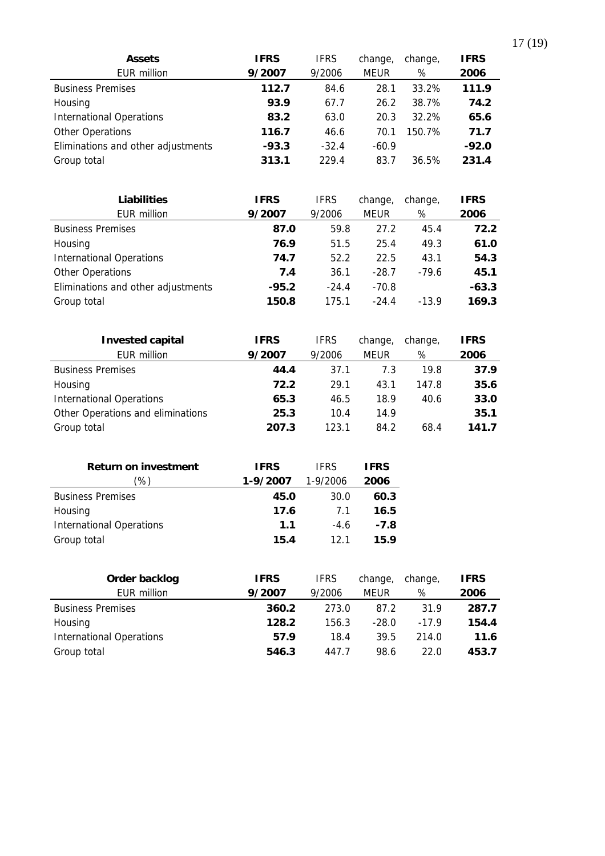| <b>Assets</b>                      | <b>IFRS</b> | <b>IFRS</b> | change,     | change, | <b>IFRS</b> |
|------------------------------------|-------------|-------------|-------------|---------|-------------|
| EUR million                        | 9/2007      | 9/2006      | <b>MEUR</b> | %       | 2006        |
| <b>Business Premises</b>           | 112.7       | 84.6        | 28.1        | 33.2%   | 111.9       |
| Housing                            | 93.9        | 67.7        | 26.2        | 38.7%   | 74.2        |
| <b>International Operations</b>    | 83.2        | 63.0        | 20.3        | 32.2%   | 65.6        |
| <b>Other Operations</b>            | 116.7       | 46.6        | 70.1        | 150.7%  | 71.7        |
| Eliminations and other adjustments | $-93.3$     | $-32.4$     | $-60.9$     |         | $-92.0$     |
| Group total                        | 313.1       | 229.4       | 83.7        | 36.5%   | 231.4       |

| <b>Liabilities</b>                 | <b>IFRS</b> | <b>IFRS</b> | change,     | change, | <b>IFRS</b> |
|------------------------------------|-------------|-------------|-------------|---------|-------------|
| EUR million                        | 9/2007      | 9/2006      | <b>MEUR</b> | %       | 2006        |
| <b>Business Premises</b>           | 87.0        | 59.8        | 27.2        | 45.4    | 72.2        |
| Housing                            | 76.9        | 51.5        | 25.4        | 49.3    | 61.0        |
| <b>International Operations</b>    | 74.7        | 52.2        | 22.5        | 43.1    | 54.3        |
| <b>Other Operations</b>            | 7.4         | 36.1        | $-28.7$     | $-79.6$ | 45.1        |
| Eliminations and other adjustments | $-95.2$     | $-24.4$     | $-70.8$     |         | $-63.3$     |
| Group total                        | 150.8       | 175.1       | $-24.4$     | $-13.9$ | 169.3       |

| <b>Invested capital</b>           | <b>IFRS</b> | <b>IFRS</b> | change, | change, | <b>IFRS</b> |
|-----------------------------------|-------------|-------------|---------|---------|-------------|
| <b>EUR million</b>                | 9/2007      | 9/2006      | MEUR    | %       | 2006        |
| <b>Business Premises</b>          | 44.4        | 37.1        | 7.3     | 19.8    | 37.9        |
| Housing                           | 72.2        | 29.1        | 43.1    | 147.8   | 35.6        |
| <b>International Operations</b>   | 65.3        | 46.5        | 18.9    | 40.6    | 33.0        |
| Other Operations and eliminations | 25.3        | 10.4        | 14.9    |         | 35.1        |
| Group total                       | 207.3       | 123.1       | 84.2    | 68.4    | 141.7       |

| <b>Return on investment</b>     | <b>IFRS</b> | <b>IFRS</b> | <b>IFRS</b> |
|---------------------------------|-------------|-------------|-------------|
| %)                              | 1-9/2007    | 1-9/2006    | 2006        |
| <b>Business Premises</b>        | 45.0        | 30.0        | 60.3        |
| Housing                         | 17.6        | 71          | 16.5        |
| <b>International Operations</b> | 1.1         | $-4.6$      | $-7.8$      |
| Group total                     | 15.4        | 12 1        | 15.9        |

| Order backlog                   | <b>IFRS</b> | <b>IFRS</b> | change, | change, | <b>IFRS</b> |
|---------------------------------|-------------|-------------|---------|---------|-------------|
| EUR million                     | 9/2007      | 9/2006      | MEUR    | %       | 2006        |
| <b>Business Premises</b>        | 360.2       | 273.0       | 87.2    | 31.9    | 287.7       |
| Housing                         | 128.2       | 156.3       | $-28.0$ | $-179$  | 154.4       |
| <b>International Operations</b> | 57.9        | 18.4        | 39.5    | 214.0   | 11.6        |
| Group total                     | 546.3       | 447.7       | 98.6    | 22.0    | 453.7       |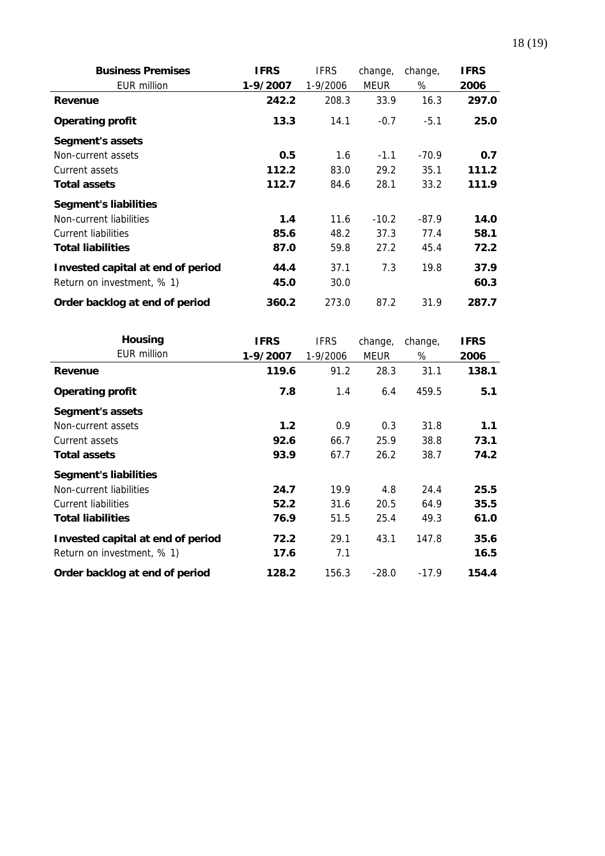| <b>Business Premises</b>          | <b>IFRS</b> | <b>IFRS</b> | change,     | change, | <b>IFRS</b> |
|-----------------------------------|-------------|-------------|-------------|---------|-------------|
| <b>EUR million</b>                | 1-9/2007    | 1-9/2006    | <b>MEUR</b> | %       | 2006        |
| Revenue                           | 242.2       | 208.3       | 33.9        | 16.3    | 297.0       |
| <b>Operating profit</b>           | 13.3        | 14.1        | $-0.7$      | $-5.1$  | 25.0        |
| Segment's assets                  |             |             |             |         |             |
| Non-current assets                | 0.5         | 1.6         | $-1.1$      | $-70.9$ | 0.7         |
| Current assets                    | 112.2       | 83.0        | 29.2        | 35.1    | 111.2       |
| <b>Total assets</b>               | 112.7       | 84.6        | 28.1        | 33.2    | 111.9       |
| <b>Segment's liabilities</b>      |             |             |             |         |             |
| Non-current liabilities           | 1.4         | 11.6        | $-10.2$     | $-87.9$ | 14.0        |
| Current liabilities               | 85.6        | 48.2        | 37.3        | 77.4    | 58.1        |
| <b>Total liabilities</b>          | 87.0        | 59.8        | 27.2        | 45.4    | 72.2        |
| Invested capital at end of period | 44.4        | 37.1        | 7.3         | 19.8    | 37.9        |
| Return on investment, % 1)        | 45.0        | 30.0        |             |         | 60.3        |
| Order backlog at end of period    | 360.2       | 273.0       | 87.2        | 31.9    | 287.7       |

| <b>Housing</b>                    | <b>IFRS</b> | <b>IFRS</b> | change,     | change, | <b>IFRS</b> |
|-----------------------------------|-------------|-------------|-------------|---------|-------------|
| <b>EUR million</b>                | 1-9/2007    | 1-9/2006    | <b>MEUR</b> | %       | 2006        |
| Revenue                           | 119.6       | 91.2        | 28.3        | 31.1    | 138.1       |
| <b>Operating profit</b>           | 7.8         | 1.4         | 6.4         | 459.5   | 5.1         |
| Segment's assets                  |             |             |             |         |             |
| Non-current assets                | 1.2         | 0.9         | 0.3         | 31.8    | 1.1         |
| Current assets                    | 92.6        | 66.7        | 25.9        | 38.8    | 73.1        |
| <b>Total assets</b>               | 93.9        | 67.7        | 26.2        | 38.7    | 74.2        |
| <b>Segment's liabilities</b>      |             |             |             |         |             |
| Non-current liabilities           | 24.7        | 19.9        | 4.8         | 24.4    | 25.5        |
| Current liabilities               | 52.2        | 31.6        | 20.5        | 64.9    | 35.5        |
| <b>Total liabilities</b>          | 76.9        | 51.5        | 25.4        | 49.3    | 61.0        |
| Invested capital at end of period | 72.2        | 29.1        | 43.1        | 147.8   | 35.6        |
| Return on investment, % 1)        | 17.6        | 7.1         |             |         | 16.5        |
| Order backlog at end of period    | 128.2       | 156.3       | $-28.0$     | $-17.9$ | 154.4       |